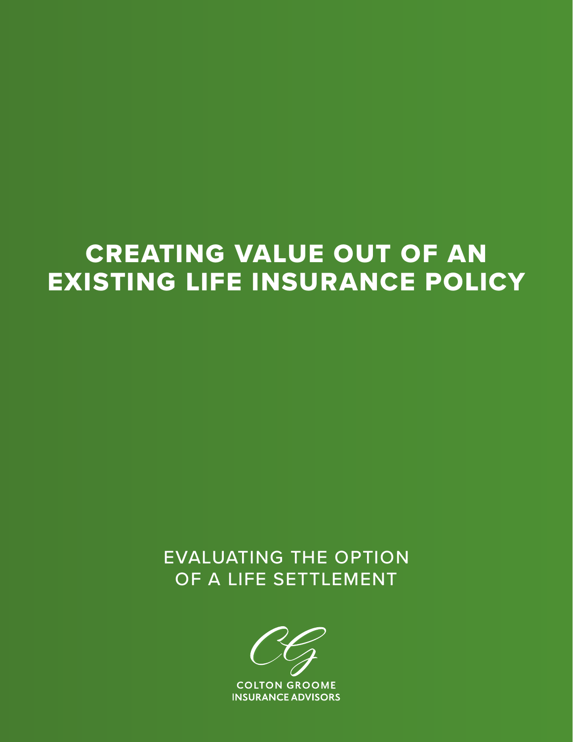## CREATING VALUE OUT OF AN EXISTING LIFE INSURANCE POLICY

## EVALUATING THE OPTION OF A LIFE SETTLEMENT

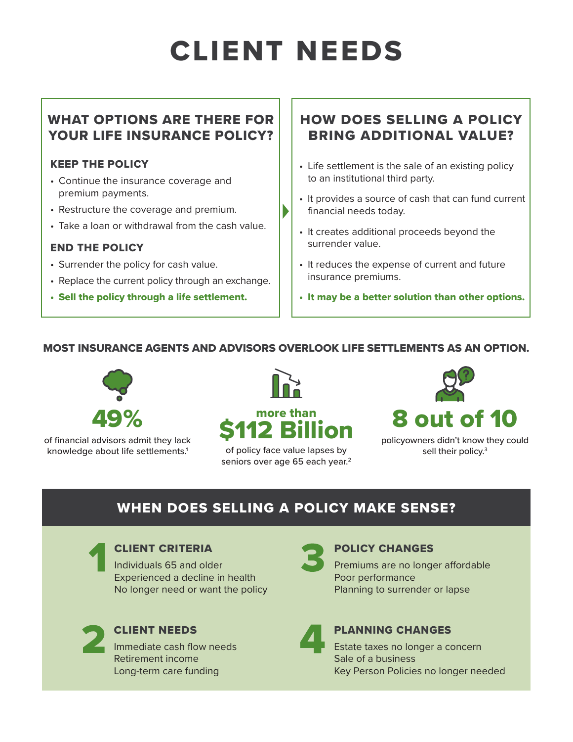# CLIENT NEEDS

## WHAT OPTIONS ARE THERE FOR YOUR LIFE INSURANCE POLICY?

#### KEEP THE POLICY

- Continue the insurance coverage and premium payments.
- Restructure the coverage and premium.
- Take a loan or withdrawal from the cash value.

### END THE POLICY

- Surrender the policy for cash value.
- Replace the current policy through an exchange.
- Sell the policy through a life settlement.

## HOW DOES SELLING A POLICY BRING ADDITIONAL VALUE?

- Life settlement is the sale of an existing policy to an institutional third party.
- It provides a source of cash that can fund current financial needs today.
- It creates additional proceeds beyond the surrender value.
- It reduces the expense of current and future insurance premiums.
- It may be a better solution than other options.

### MOST INSURANCE AGENTS AND ADVISORS OVERLOOK LIFE SETTLEMENTS AS AN OPTION.



of financial advisors admit they lack knowledge about life settlements.<sup>1</sup>



of policy face value lapses by seniors over age 65 each year.<sup>2</sup>



policyowners didn't know they could sell their policy.<sup>3</sup>

## WHEN DOES SELLING A POLICY MAKE SENSE?



## CLIENT CRITERIA

Individuals 65 and older Experienced a decline in health No longer need or want the policy



### CLIENT NEEDS

Immediate cash flow needs Retirement income Long-term care funding



### POLICY CHANGES

Premiums are no longer affordable Poor performance Planning to surrender or lapse



## PLANNING CHANGES

Estate taxes no longer a concern Sale of a business Key Person Policies no longer needed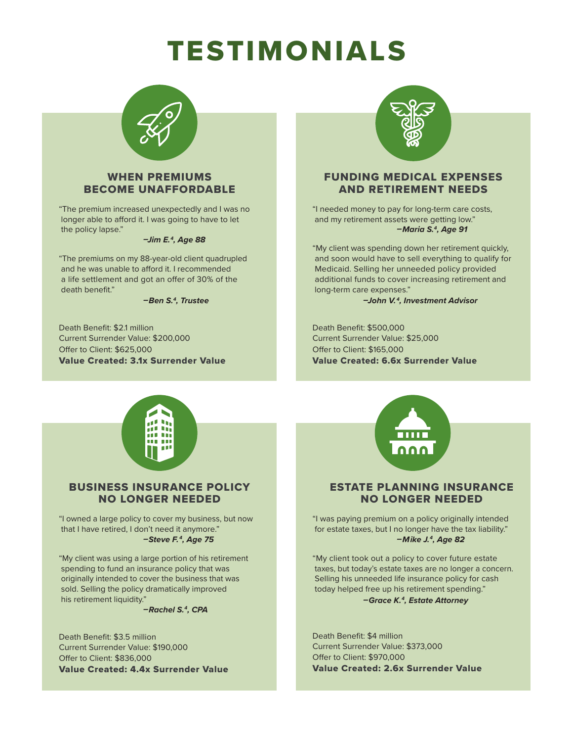## TESTIMONIALS



#### WHEN PREMIUMS BECOME UNAFFORDABLE

"The premium increased unexpectedly and I was no longer able to afford it. I was going to have to let the policy lapse."

#### *–Jim E.4, Age 88*

"The premiums on my 88-year-old client quadrupled and he was unable to afford it. I recommended a life settlement and got an offer of 30% of the death benefit."

#### *–Ben S.4, Trustee*

Death Benefit: \$2.1 million Current Surrender Value: \$200,000 Offer to Client: \$625,000 Value Created: 3.1x Surrender Value



#### FUNDING MEDICAL EXPENSES AND RETIREMENT NEEDS

"I needed money to pay for long-term care costs, and my retirement assets were getting low." *–Maria S.4, Age 91*

"My client was spending down her retirement quickly, and soon would have to sell everything to qualify for Medicaid. Selling her unneeded policy provided additional funds to cover increasing retirement and long-term care expenses."

*–John V.4, Investment Advisor*

Death Benefit: \$500,000 Current Surrender Value: \$25,000 Offer to Client: \$165,000 Value Created: 6.6x Surrender Value



#### BUSINESS INSURANCE POLICY NO LONGER NEEDED

"I owned a large policy to cover my business, but now that I have retired, I don't need it anymore." *–Steve F.4, Age 75*

"My client was using a large portion of his retirement spending to fund an insurance policy that was originally intended to cover the business that was sold. Selling the policy dramatically improved his retirement liquidity."

*–Rachel S.4, CPA*

Death Benefit: \$3.5 million Current Surrender Value: \$190,000 Offer to Client: \$836,000 Value Created: 4.4x Surrender Value



#### ESTATE PLANNING INSURANCE NO LONGER NEEDED

"I was paying premium on a policy originally intended for estate taxes, but I no longer have the tax liability." *–Mike J.4, Age 82*

"My client took out a policy to cover future estate taxes, but today's estate taxes are no longer a concern. Selling his unneeded life insurance policy for cash today helped free up his retirement spending."

#### *–Grace K.4, Estate Attorney*

Death Benefit: \$4 million Current Surrender Value: \$373,000 Offer to Client: \$970,000 Value Created: 2.6x Surrender Value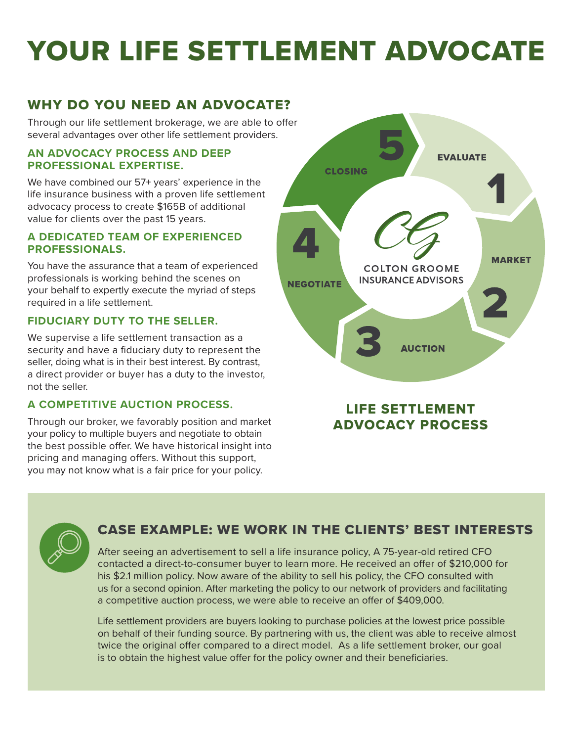## YOUR LIFE SETTLEMENT ADVOCATE

## WHY DO YOU NEED AN ADVOCATE?

Through our life settlement brokerage, we are able to offer several advantages over other life settlement providers.

#### **AN ADVOCACY PROCESS AND DEEP PROFESSIONAL EXPERTISE.**

We have combined our 57+ years' experience in the life insurance business with a proven life settlement advocacy process to create \$165B of additional value for clients over the past 15 years.

#### **A DEDICATED TEAM OF EXPERIENCED PROFESSIONALS.**

You have the assurance that a team of experienced professionals is working behind the scenes on your behalf to expertly execute the myriad of steps required in a life settlement.

#### **FIDUCIARY DUTY TO THE SELLER.**

We supervise a life settlement transaction as a security and have a fiduciary duty to represent the seller, doing what is in their best interest. By contrast, a direct provider or buyer has a duty to the investor, not the seller.

#### **A COMPETITIVE AUCTION PROCESS.**

Through our broker, we favorably position and market your policy to multiple buyers and negotiate to obtain the best possible offer. We have historical insight into pricing and managing offers. Without this support, you may not know what is a fair price for your policy.



LIFE SETTLEMENT ADVOCACY PROCESS

## CASE EXAMPLE: WE WORK IN THE CLIENTS' BEST INTERESTS

After seeing an advertisement to sell a life insurance policy, A 75-year-old retired CFO contacted a direct-to-consumer buyer to learn more. He received an offer of \$210,000 for his \$2.1 million policy. Now aware of the ability to sell his policy, the CFO consulted with us for a second opinion. After marketing the policy to our network of providers and facilitating a competitive auction process, we were able to receive an offer of \$409,000.

Life settlement providers are buyers looking to purchase policies at the lowest price possible on behalf of their funding source. By partnering with us, the client was able to receive almost twice the original offer compared to a direct model. As a life settlement broker, our goal is to obtain the highest value offer for the policy owner and their beneficiaries.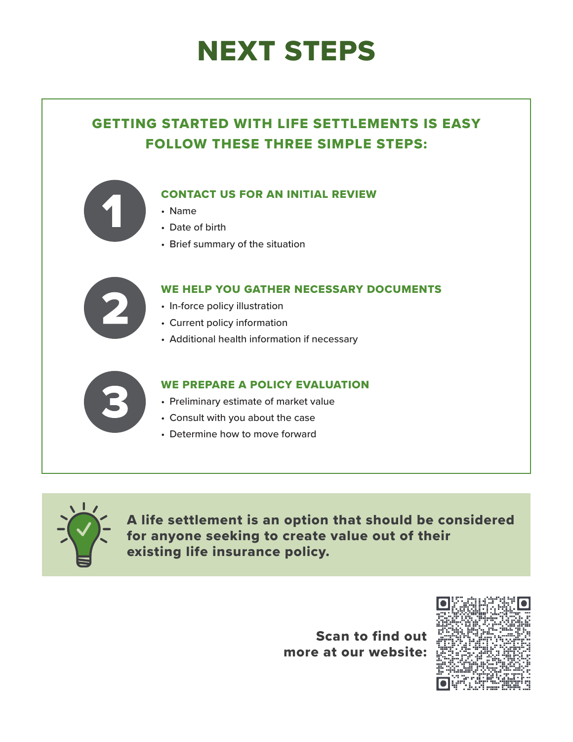## NEXT STEPS

## GETTING STARTED WITH LIFE SETTLEMENTS IS EASY FOLLOW THESE THREE SIMPLE STEPS:

#### CONTACT US FOR AN INITIAL REVIEW

- Name
- Date of birth
- Brief summary of the situation



#### WE HELP YOU GATHER NECESSARY DOCUMENTS

- In-force policy illustration
- Current policy information
- Additional health information if necessary



#### WE PREPARE A POLICY EVALUATION

- Preliminary estimate of market value
- Consult with you about the case
- Determine how to move forward



A life settlement is an option that should be considered for anyone seeking to create value out of their existing life insurance policy.

> Scan to find out more at our website: